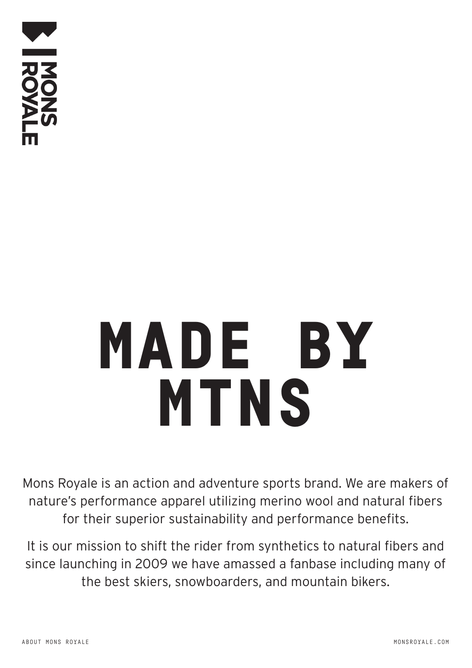

# MADE BY MTNS

Mons Royale is an action and adventure sports brand. We are makers of nature's performance apparel utilizing merino wool and natural fibers for their superior sustainability and performance benefits.

It is our mission to shift the rider from synthetics to natural fibers and since launching in 2009 we have amassed a fanbase including many of the best skiers, snowboarders, and mountain bikers.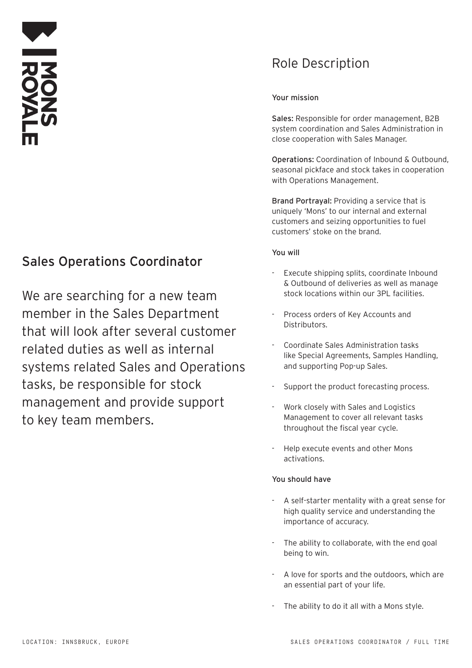## Sales Operations Coordinator

We are searching for a new team member in the Sales Department that will look after several customer related duties as well as internal systems related Sales and Operations tasks, be responsible for stock management and provide support to key team members.

## Role Description

### Your mission

Sales: Responsible for order management, B2B system coordination and Sales Administration in close cooperation with Sales Manager.

Operations: Coordination of Inbound & Outbound, seasonal pickface and stock takes in cooperation with Operations Management.

Brand Portrayal: Providing a service that is uniquely 'Mons' to our internal and external customers and seizing opportunities to fuel customers' stoke on the brand.

#### You will

- Execute shipping splits, coordinate Inbound & Outbound of deliveries as well as manage stock locations within our 3PL facilities.
- Process orders of Key Accounts and Distributors.
- Coordinate Sales Administration tasks like Special Agreements, Samples Handling, and supporting Pop-up Sales.
- Support the product forecasting process.
- Work closely with Sales and Logistics Management to cover all relevant tasks throughout the fiscal year cycle.
- Help execute events and other Mons activations.

#### You should have

- A self-starter mentality with a great sense for high quality service and understanding the importance of accuracy.
- The ability to collaborate, with the end goal being to win.
- A love for sports and the outdoors, which are an essential part of your life.
- The ability to do it all with a Mons style.